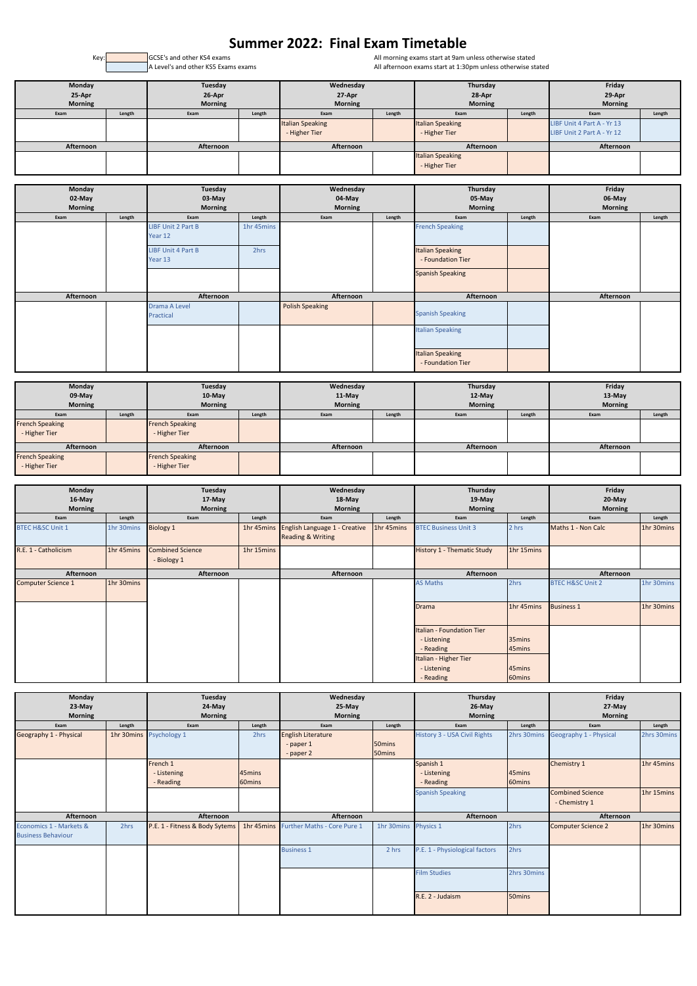All morning exams start at 9am unless otherwise stated All afternoon exams start at 1:30pm unless otherwise stated

| Monday<br>25-Apr<br><b>Morning</b> |        | Tuesday<br>26-Apr<br><b>Morning</b> |        | Wednesday<br>27-Apr<br><b>Morning</b>    |        | Thursday<br>28-Apr<br><b>Morning</b>     |        | Friday<br>29-Apr<br><b>Morning</b>                       |        |
|------------------------------------|--------|-------------------------------------|--------|------------------------------------------|--------|------------------------------------------|--------|----------------------------------------------------------|--------|
| Exam                               | Length | Exam                                | Length | Exam                                     | Length | Exam                                     | Length | Exam                                                     | Length |
|                                    |        |                                     |        | <b>Italian Speaking</b><br>- Higher Tier |        | <b>Italian Speaking</b><br>- Higher Tier |        | LIBF Unit 4 Part A - Yr 13<br>LIBF Unit 2 Part A - Yr 12 |        |
|                                    |        |                                     |        |                                          |        |                                          |        |                                                          |        |
| Afternoon                          |        | Afternoon                           |        | Afternoon                                |        | Afternoon                                |        | Afternoon                                                |        |
|                                    |        |                                     |        |                                          |        | <b>Italian Speaking</b>                  |        |                                                          |        |
|                                    |        |                                     |        |                                          |        | - Higher Tier                            |        |                                                          |        |

| Monday<br>02-May |        |                            | Tuesday<br>03-May |                        | Wednesday<br>04-May |                                              | Thursday<br>05-May |                |        |
|------------------|--------|----------------------------|-------------------|------------------------|---------------------|----------------------------------------------|--------------------|----------------|--------|
| Morning          |        | <b>Morning</b>             |                   | <b>Morning</b>         |                     | <b>Morning</b>                               |                    | <b>Morning</b> |        |
| Exam             | Length | Exam                       | Length            | Exam                   | Length              | Exam                                         | Length             | Exam           | Length |
|                  |        | <b>LIBF Unit 2 Part B</b>  | 1hr 45mins        |                        |                     | <b>French Speaking</b>                       |                    |                |        |
|                  |        | Year 12                    |                   |                        |                     |                                              |                    |                |        |
|                  |        | <b>LIBF Unit 4 Part B</b>  | 2hrs              |                        |                     | <b>Italian Speaking</b>                      |                    |                |        |
|                  |        | Year 13                    |                   |                        |                     | - Foundation Tier                            |                    |                |        |
|                  |        |                            |                   |                        |                     | <b>Spanish Speaking</b>                      |                    |                |        |
|                  |        |                            |                   |                        |                     |                                              |                    |                |        |
| Afternoon        |        | Afternoon                  |                   | Afternoon              |                     | Afternoon                                    |                    | Afternoon      |        |
|                  |        | Drama A Level<br>Practical |                   | <b>Polish Speaking</b> |                     | <b>Spanish Speaking</b>                      |                    |                |        |
|                  |        |                            |                   |                        |                     | <b>Italian Speaking</b>                      |                    |                |        |
|                  |        |                            |                   |                        |                     | <b>Italian Speaking</b><br>- Foundation Tier |                    |                |        |

| Monday<br>$09-May$     |        | Tuesday<br>$10$ -May   |        | Wednesday<br>$11-May$ |        | Thursday<br>$12$ -May |        | Friday<br>$13-May$ |        |
|------------------------|--------|------------------------|--------|-----------------------|--------|-----------------------|--------|--------------------|--------|
| <b>Morning</b>         |        | <b>Morning</b>         |        | <b>Morning</b>        |        | <b>Morning</b>        |        | <b>Morning</b>     |        |
| Exam                   | Length | Exam                   | Length | Exam                  | Length | Exam                  | Length | Exam               | Length |
| <b>French Speaking</b> |        | <b>French Speaking</b> |        |                       |        |                       |        |                    |        |
| - Higher Tier          |        | - Higher Tier          |        |                       |        |                       |        |                    |        |
| Afternoon              |        | Afternoon              |        | Afternoon             |        | Afternoon             |        | Afternoon          |        |
| <b>French Speaking</b> |        | <b>French Speaking</b> |        |                       |        |                       |        |                    |        |
| - Higher Tier          |        | - Higher Tier          |        |                       |        |                       |        |                    |        |

| Monday                      |            | Tuesday                                |            | Wednesday                                                            |            | Thursday                          |            | Friday                      |            |
|-----------------------------|------------|----------------------------------------|------------|----------------------------------------------------------------------|------------|-----------------------------------|------------|-----------------------------|------------|
| $16$ -May                   |            | $17$ -May                              |            | 18-May                                                               |            | $19-May$                          |            | $20$ -May                   |            |
| <b>Morning</b>              |            | <b>Morning</b>                         |            | <b>Morning</b>                                                       |            | <b>Morning</b>                    |            | <b>Morning</b>              |            |
| Exam                        | Length     | Exam                                   | Length     | Exam                                                                 | Length     | Exam                              | Length     | Exam                        | Length     |
| <b>BTEC H&amp;SC Unit 1</b> | 1hr 30mins | <b>Biology 1</b>                       | 1hr 45mins | <b>English Language 1 - Creative</b><br><b>Reading &amp; Writing</b> | 1hr 45mins | <b>BTEC Business Unit 3</b>       | 2 hrs      | Maths 1 - Non Calc          | 1hr 30mins |
| R.E. 1 - Catholicism        | 1hr 45mins | <b>Combined Science</b><br>- Biology 1 | 1hr 15mins |                                                                      |            | <b>History 1 - Thematic Study</b> | 1hr 15mins |                             |            |
| Afternoon                   |            | Afternoon                              |            | Afternoon                                                            |            | Afternoon                         |            | Afternoon                   |            |
| <b>Computer Science 1</b>   | 1hr 30mins |                                        |            |                                                                      |            | <b>AS Maths</b>                   | 2hrs       | <b>BTEC H&amp;SC Unit 2</b> | 1hr 30mins |
|                             |            |                                        |            |                                                                      |            | <b>Drama</b>                      | 1hr 45mins | <b>Business 1</b>           | 1hr 30mins |
|                             |            |                                        |            |                                                                      |            | Italian - Foundation Tier         |            |                             |            |
|                             |            |                                        |            |                                                                      |            | - Listening                       | 35mins     |                             |            |
|                             |            |                                        |            |                                                                      |            | - Reading                         | 45mins     |                             |            |
|                             |            |                                        |            |                                                                      |            | Italian - Higher Tier             |            |                             |            |
|                             |            |                                        |            |                                                                      |            | - Listening                       | 45mins     |                             |            |
|                             |            |                                        |            |                                                                      |            | - Reading                         | 60mins     |                             |            |

| Monday                    |            | Tuesday                        |        | Wednesday                              |            | Thursday                       |                    | Friday                    |             |
|---------------------------|------------|--------------------------------|--------|----------------------------------------|------------|--------------------------------|--------------------|---------------------------|-------------|
| 23-May                    |            | 24-May                         |        | 25-May                                 |            | 26-May                         |                    | 27-May                    |             |
| <b>Morning</b>            |            | <b>Morning</b>                 |        | <b>Morning</b>                         |            | <b>Morning</b>                 |                    | <b>Morning</b>            |             |
| Exam                      | Length     | Exam                           | Length | Exam                                   | Length     | Exam                           | Length             | Exam                      | Length      |
| Geography 1 - Physical    | 1hr 30mins | Psychology 1                   | 2hrs   | <b>English Literature</b>              |            | History 3 - USA Civil Rights   | 2hrs 30mins        | Geography 1 - Physical    | 2hrs 30mins |
|                           |            |                                |        | - paper 1                              | 50mins     |                                |                    |                           |             |
|                           |            |                                |        | - paper 2                              | 50mins     |                                |                    |                           |             |
|                           |            | French 1                       |        |                                        |            | Spanish 1                      |                    | Chemistry 1               | 1hr 45mins  |
|                           |            | - Listening                    | 45mins |                                        |            | - Listening                    | 45mins             |                           |             |
|                           |            | - Reading                      | 60mins |                                        |            | - Reading                      | 60mins             |                           |             |
|                           |            |                                |        |                                        |            | <b>Spanish Speaking</b>        |                    | <b>Combined Science</b>   | 1hr 15mins  |
|                           |            |                                |        |                                        |            |                                |                    | - Chemistry 1             |             |
| Afternoon                 |            | Afternoon                      |        | Afternoon                              |            | Afternoon                      |                    | Afternoon                 |             |
| Economics 1 - Markets &   | 2hrs       | P.E. 1 - Fitness & Body Sytems |        | 1hr 45mins Further Maths - Core Pure 1 | 1hr 30mins | Physics 1                      | 2hrs               | <b>Computer Science 2</b> | 1hr 30mins  |
| <b>Business Behaviour</b> |            |                                |        |                                        |            |                                |                    |                           |             |
|                           |            |                                |        | <b>Business 1</b>                      | 2 hrs      | P.E. 1 - Physiological factors | 2hrs               |                           |             |
|                           |            |                                |        |                                        |            |                                |                    |                           |             |
|                           |            |                                |        |                                        |            | <b>Film Studies</b>            | 2hrs 30mins        |                           |             |
|                           |            |                                |        |                                        |            |                                |                    |                           |             |
|                           |            |                                |        |                                        |            |                                |                    |                           |             |
|                           |            |                                |        |                                        |            | R.E. 2 - Judaism               | 50 <sub>mins</sub> |                           |             |
|                           |            |                                |        |                                        |            |                                |                    |                           |             |

## **Summer 2022: Final Exam Timetable**

Key: GCSE's and other KS4 exams<br>|A Level's and other KS5 Exams exams